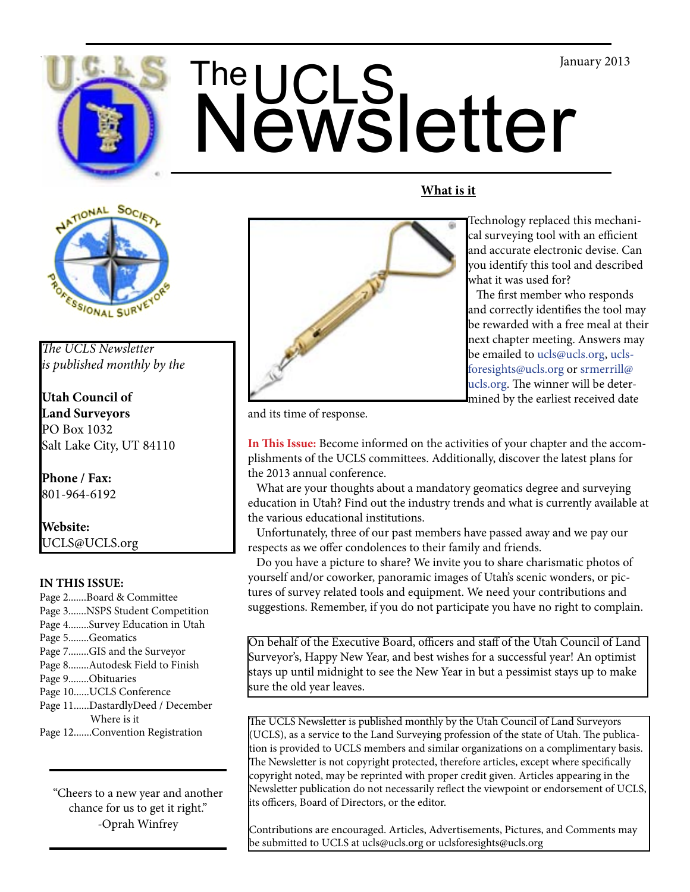



*The UCLS Newsletter is published monthly by the*

**Utah Council of Land Surveyors** PO Box 1032 Salt Lake City, UT 84110

**Phone / Fax:**  801-964-6192

**Website:** UCLS@UCLS.org

# **IN THIS ISSUE:**

Page 2.......Board & Committee Page 3.......NSPS Student Competition Page 4........Survey Education in Utah Page 5........Geomatics Page 7........GIS and the Surveyor Page 8........Autodesk Field to Finish Page 9........Obituaries Page 10......UCLS Conference Page 11......DastardlyDeed / December Where is it Page 12.......Convention Registration

"Cheers to a new year and another chance for us to get it right." -Oprah Winfrey



Technology replaced this mechanical surveying tool with an efficient and accurate electronic devise. Can you identify this tool and described what it was used for?

 The first member who responds and correctly identifies the tool may be rewarded with a free meal at their next chapter meeting. Answers may be emailed to ucls@ucls.org, uclsforesights@ucls.org or srmerrill@ ucls.org. The winner will be determined by the earliest received date

and its time of response.

**In This Issue:** Become informed on the activities of your chapter and the accomplishments of the UCLS committees. Additionally, discover the latest plans for the 2013 annual conference.

**What is it**

 What are your thoughts about a mandatory geomatics degree and surveying education in Utah? Find out the industry trends and what is currently available at the various educational institutions.

 Unfortunately, three of our past members have passed away and we pay our respects as we offer condolences to their family and friends.

 Do you have a picture to share? We invite you to share charismatic photos of yourself and/or coworker, panoramic images of Utah's scenic wonders, or pictures of survey related tools and equipment. We need your contributions and suggestions. Remember, if you do not participate you have no right to complain.

On behalf of the Executive Board, officers and staff of the Utah Council of Land Surveyor's, Happy New Year, and best wishes for a successful year! An optimist stays up until midnight to see the New Year in but a pessimist stays up to make sure the old year leaves.

The UCLS Newsletter is published monthly by the Utah Council of Land Surveyors (UCLS), as a service to the Land Surveying profession of the state of Utah. The publication is provided to UCLS members and similar organizations on a complimentary basis. The Newsletter is not copyright protected, therefore articles, except where specifically copyright noted, may be reprinted with proper credit given. Articles appearing in the Newsletter publication do not necessarily reflect the viewpoint or endorsement of UCLS, its officers, Board of Directors, or the editor.

Contributions are encouraged. Articles, Advertisements, Pictures, and Comments may be submitted to UCLS at ucls@ucls.org or uclsforesights@ucls.org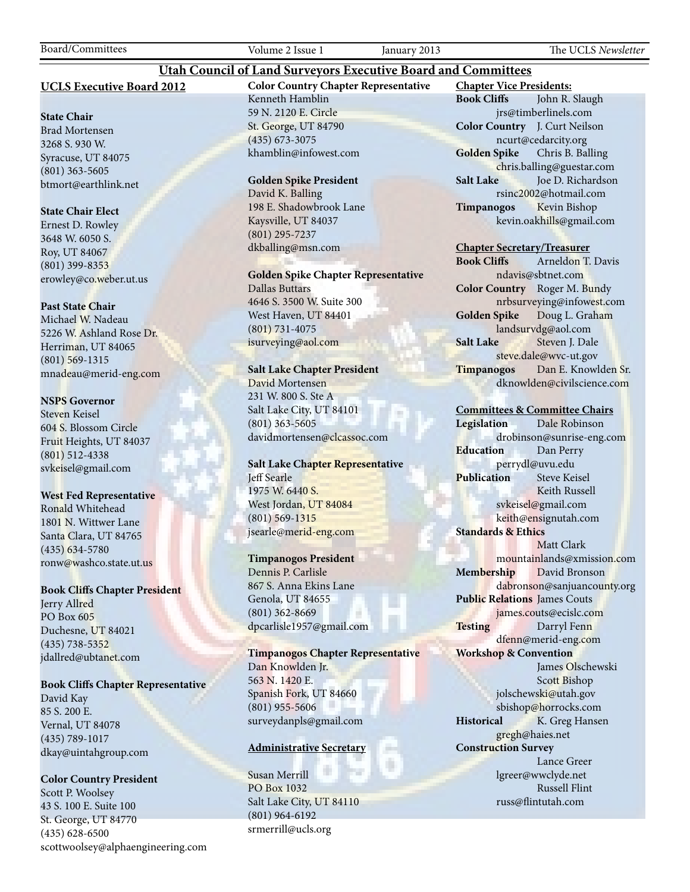Board/Committees Volume 2 Issue 1 January 2013 The UCLS *Newsletter*

### **UCLS Executive Board 2012**

#### **State Chair**

Brad Mortensen 3268 S. 930 W. Syracuse, UT 84075 (801) 363-5605 btmort@earthlink.net

#### **State Chair Elect**

Ernest D. Rowley 3648 W. 6050 S. Roy, UT 84067 (801) 399-8353 erowley@co.weber.ut.us

#### **Past State Chair**

Michael W. Nadeau 5226 W. Ashland Rose Dr. Herriman, UT 84065 (801) 569-1315 mnadeau@merid-eng.com

#### **NSPS Governor**

Steven Keisel 604 S. Blossom Circle Fruit Heights, UT 84037 (801) 512-4338 svkeisel@gmail.com

#### **West Fed Representative**

Ronald Whitehead 1801 N. Wittwer Lane Santa Clara, UT 84765 (435) 634-5780 ronw@washco.state.ut.us

#### **Book Cliffs Chapter President**

Jerry Allred PO Box 605 Duchesne, UT 84021 (435) 738-5352 jdallred@ubtanet.com

#### **Book Cliffs Chapter Representative**

David Kay 85 S. 200 E. Vernal, UT 84078 (435) 789-1017 dkay@uintahgroup.com

### **Color Country President**

Scott P. Woolsey 43 S. 100 E. Suite 100 St. George, UT 84770 (435) 628-6500 scottwoolsey@alphaengineering.com **Color Country Chapter Representative** Kenneth Hamblin 59 N. 2120 E. Circle St. George, UT 84790 (435) 673-3075 khamblin@infowest.com

**Utah Council of Land Surveyors Executive Board and Committees**

#### **Golden Spike President**

David K. Balling 198 E. Shadowbrook Lane Kaysville, UT 84037 (801) 295-7237 dkballing@msn.com

**Golden Spike Chapter Representative** Dallas Buttars 4646 S. 3500 W. Suite 300 West Haven, UT 84401

(801) 731-4075 isurveying@aol.com

## **Salt Lake Chapter President**

David Mortensen 231 W. 800 S. Ste A Salt Lake City, UT 84101 (801) 363-5605 davidmortensen@clcassoc.com

### **Salt Lake Chapter Representative** Jeff Searle 1975 W. 6440 S. West Jordan, UT 84084 (801) 569-1315 jsearle@merid-eng.com

#### **Timpanogos President**

Dennis P. Carlisle 867 S. Anna Ekins Lane Genola, UT 84655 (801) 362-8669 dpcarlisle1957@gmail.com

**Timpanogos Chapter Representative** Dan Knowlden Jr. 563 N. 1420 E. Spanish Fork, UT 84660 (801) 955-5606 surveydanpls@gmail.com

#### **Administrative Secretary**

Susan Merrill PO Box 1032 Salt Lake City, UT 84110 (801) 964-6192 srmerrill@ucls.org

**Chapter Vice Presidents: Book Cliffs** John R. Slaugh jrs@timberlinels.com **Color Country** J. Curt Neilson ncurt@cedarcity.org **Golden Spike** Chris B. Balling chris.balling@guestar.com **Salt Lake** Joe D. Richardson rsinc2002@hotmail.com **Timpanogos** Kevin Bishop kevin.oakhills@gmail.com

#### **Chapter Secretary/Treasurer**

**Book Cliffs** Arneldon T. Davis ndavis@sbtnet.com **Color Country** Roger M. Bundy nrbsurveying@infowest.com **Golden Spike** Doug L. Graham landsurvdg@aol.com **Salt Lake** Steven J. Dale steve.dale@wvc-ut.gov **Timpanogos** Dan E. Knowlden Sr. dknowlden@civilscience.com

#### **Committees & Committee Chairs**

**Legislation** Dale Robinson drobinson@sunrise-eng.com **Education** Dan Perry perrydl@uvu.edu **Publication** Steve Keisel Keith Russell svkeisel@gmail.com keith@ensignutah.com **Standards & Ethics** Matt Clark mountainlands@xmission.com **Membership** David Bronson dabronson@sanjuancounty.org **Public Relations** James Couts james.couts@ecislc.com Testing Darryl Fenn dfenn@merid-eng.com **Workshop & Convention** James Olschewski Scott Bishop jolschewski@utah.gov sbishop@horrocks.com **Historical** K. Greg Hansen gregh@haies.net **Construction Survey** Lance Greer lgreer@wwclyde.net Russell Flint russ@flintutah.com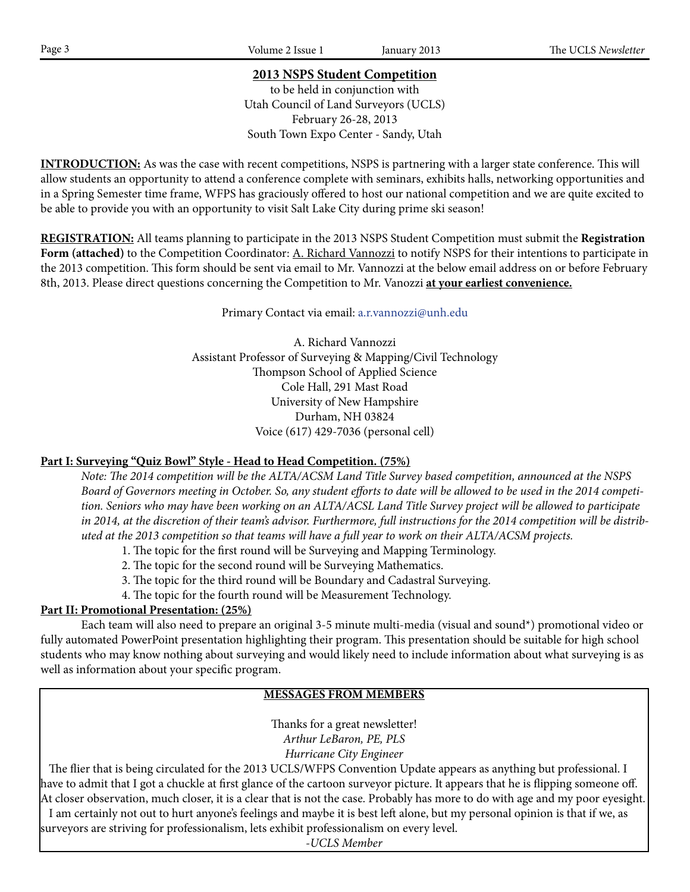# **2013 NSPS Student Competition**

to be held in conjunction with Utah Council of Land Surveyors (UCLS) February 26-28, 2013 South Town Expo Center - Sandy, Utah

**INTRODUCTION:** As was the case with recent competitions, NSPS is partnering with a larger state conference. This will allow students an opportunity to attend a conference complete with seminars, exhibits halls, networking opportunities and in a Spring Semester time frame, WFPS has graciously offered to host our national competition and we are quite excited to be able to provide you with an opportunity to visit Salt Lake City during prime ski season!

**REGISTRATION:** All teams planning to participate in the 2013 NSPS Student Competition must submit the **Registration**  Form (attached) to the Competition Coordinator: A. Richard Vannozzi to notify NSPS for their intentions to participate in the 2013 competition. This form should be sent via email to Mr. Vannozzi at the below email address on or before February 8th, 2013. Please direct questions concerning the Competition to Mr. Vanozzi **at your earliest convenience.**

Primary Contact via email: a.r.vannozzi@unh.edu

A. Richard Vannozzi Assistant Professor of Surveying & Mapping/Civil Technology Thompson School of Applied Science Cole Hall, 291 Mast Road University of New Hampshire Durham, NH 03824 Voice (617) 429-7036 (personal cell)

# **Part I: Surveying "Quiz Bowl" Style - Head to Head Competition. (75%)**

*Note: The 2014 competition will be the ALTA/ACSM Land Title Survey based competition, announced at the NSPS Board of Governors meeting in October. So, any student efforts to date will be allowed to be used in the 2014 competition. Seniors who may have been working on an ALTA/ACSL Land Title Survey project will be allowed to participate in 2014, at the discretion of their team's advisor. Furthermore, full instructions for the 2014 competition will be distributed at the 2013 competition so that teams will have a full year to work on their ALTA/ACSM projects.*

- 1. The topic for the first round will be Surveying and Mapping Terminology.
- 2. The topic for the second round will be Surveying Mathematics.
- 3. The topic for the third round will be Boundary and Cadastral Surveying.
- 4. The topic for the fourth round will be Measurement Technology.

# **Part II: Promotional Presentation: (25%)**

Each team will also need to prepare an original 3-5 minute multi-media (visual and sound\*) promotional video or fully automated PowerPoint presentation highlighting their program. This presentation should be suitable for high school students who may know nothing about surveying and would likely need to include information about what surveying is as well as information about your specific program.

# **MESSAGES FROM MEMBERS**

Thanks for a great newsletter! *Arthur LeBaron, PE, PLS Hurricane City Engineer*

 The flier that is being circulated for the 2013 UCLS/WFPS Convention Update appears as anything but professional. I have to admit that I got a chuckle at first glance of the cartoon surveyor picture. It appears that he is flipping someone off. At closer observation, much closer, it is a clear that is not the case. Probably has more to do with age and my poor eyesight. I am certainly not out to hurt anyone's feelings and maybe it is best left alone, but my personal opinion is that if we, as surveyors are striving for professionalism, lets exhibit professionalism on every level.

*-UCLS Member*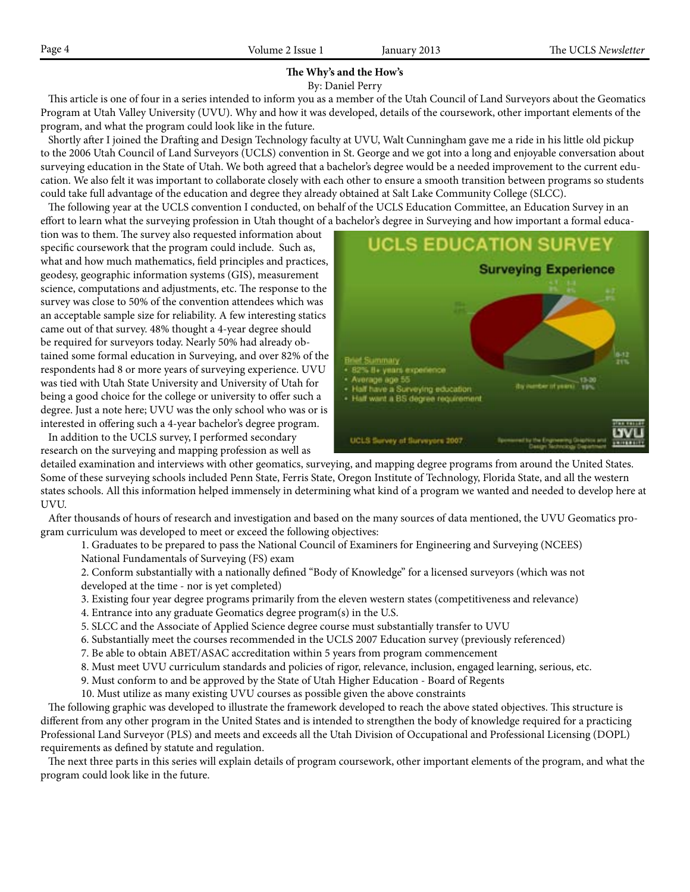#### **The Why's and the How's** By: Daniel Perry

 This article is one of four in a series intended to inform you as a member of the Utah Council of Land Surveyors about the Geomatics Program at Utah Valley University (UVU). Why and how it was developed, details of the coursework, other important elements of the program, and what the program could look like in the future.

 Shortly after I joined the Drafting and Design Technology faculty at UVU, Walt Cunningham gave me a ride in his little old pickup to the 2006 Utah Council of Land Surveyors (UCLS) convention in St. George and we got into a long and enjoyable conversation about surveying education in the State of Utah. We both agreed that a bachelor's degree would be a needed improvement to the current education. We also felt it was important to collaborate closely with each other to ensure a smooth transition between programs so students could take full advantage of the education and degree they already obtained at Salt Lake Community College (SLCC).

 The following year at the UCLS convention I conducted, on behalf of the UCLS Education Committee, an Education Survey in an effort to learn what the surveying profession in Utah thought of a bachelor's degree in Surveying and how important a formal educa-

tion was to them. The survey also requested information about specific coursework that the program could include. Such as, what and how much mathematics, field principles and practices, geodesy, geographic information systems (GIS), measurement science, computations and adjustments, etc. The response to the survey was close to 50% of the convention attendees which was an acceptable sample size for reliability. A few interesting statics came out of that survey. 48% thought a 4-year degree should be required for surveyors today. Nearly 50% had already obtained some formal education in Surveying, and over 82% of the respondents had 8 or more years of surveying experience. UVU was tied with Utah State University and University of Utah for being a good choice for the college or university to offer such a degree. Just a note here; UVU was the only school who was or is interested in offering such a 4-year bachelor's degree program.

 In addition to the UCLS survey, I performed secondary research on the surveying and mapping profession as well as



detailed examination and interviews with other geomatics, surveying, and mapping degree programs from around the United States. Some of these surveying schools included Penn State, Ferris State, Oregon Institute of Technology, Florida State, and all the western states schools. All this information helped immensely in determining what kind of a program we wanted and needed to develop here at UVU.

 After thousands of hours of research and investigation and based on the many sources of data mentioned, the UVU Geomatics program curriculum was developed to meet or exceed the following objectives:

1. Graduates to be prepared to pass the National Council of Examiners for Engineering and Surveying (NCEES)

- National Fundamentals of Surveying (FS) exam
- 2. Conform substantially with a nationally defined "Body of Knowledge" for a licensed surveyors (which was not developed at the time - nor is yet completed)
- 3. Existing four year degree programs primarily from the eleven western states (competitiveness and relevance)
- 4. Entrance into any graduate Geomatics degree program(s) in the U.S.
- 5. SLCC and the Associate of Applied Science degree course must substantially transfer to UVU
- 6. Substantially meet the courses recommended in the UCLS 2007 Education survey (previously referenced)
- 7. Be able to obtain ABET/ASAC accreditation within 5 years from program commencement
- 8. Must meet UVU curriculum standards and policies of rigor, relevance, inclusion, engaged learning, serious, etc.
- 9. Must conform to and be approved by the State of Utah Higher Education Board of Regents
- 10. Must utilize as many existing UVU courses as possible given the above constraints

 The following graphic was developed to illustrate the framework developed to reach the above stated objectives. This structure is different from any other program in the United States and is intended to strengthen the body of knowledge required for a practicing Professional Land Surveyor (PLS) and meets and exceeds all the Utah Division of Occupational and Professional Licensing (DOPL) requirements as defined by statute and regulation.

 The next three parts in this series will explain details of program coursework, other important elements of the program, and what the program could look like in the future.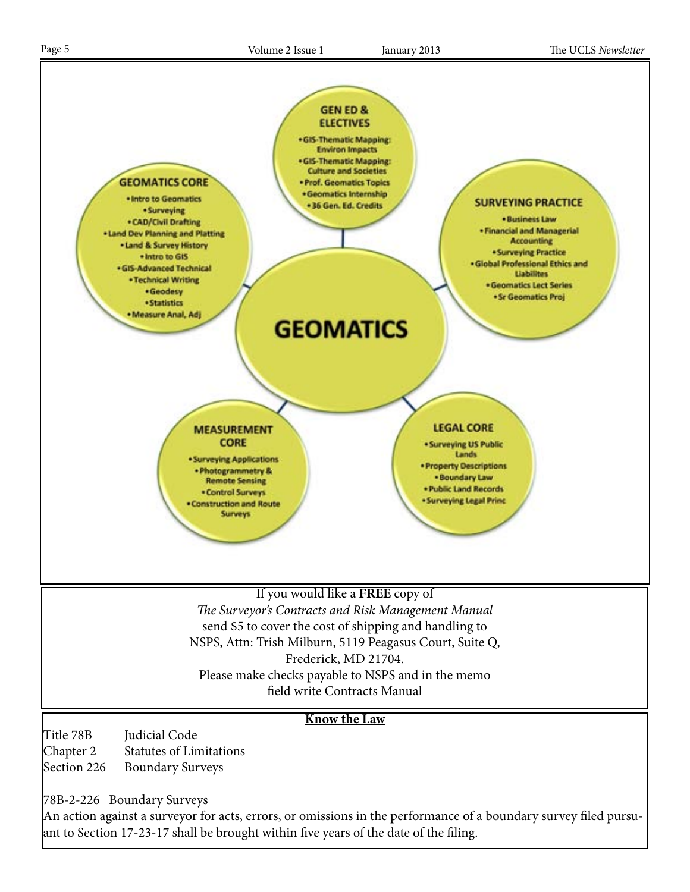

78B-2-226 Boundary Surveys

An action against a surveyor for acts, errors, or omissions in the performance of a boundary survey filed pursuant to Section 17-23-17 shall be brought within five years of the date of the filing.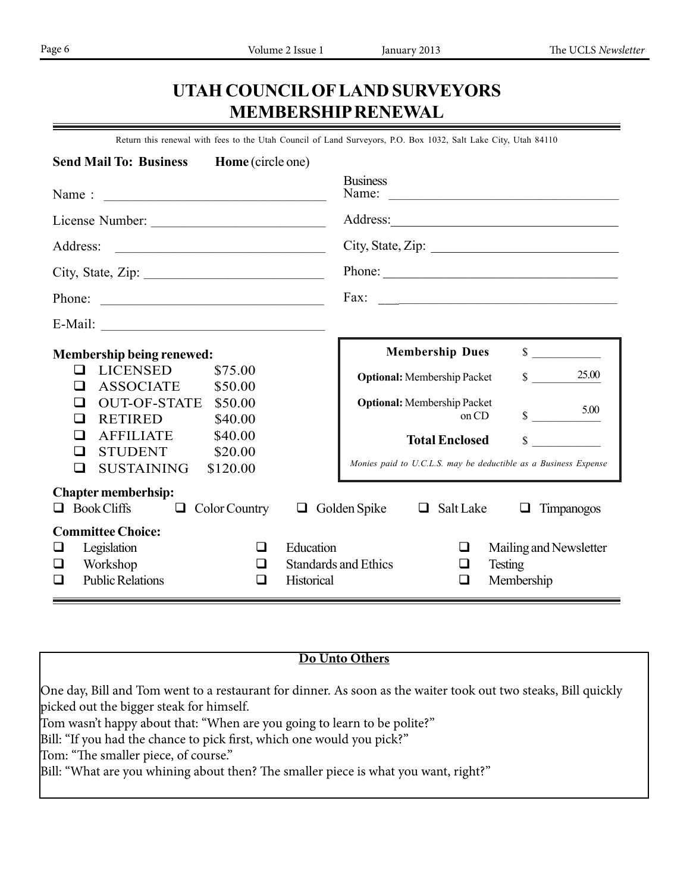# **UTAH COUNCIL OF LAND SURVEYORS MEMBERSHIP RENEWAL**

Return this renewal with fees to the Utah Council of Land Surveyors, P.O. Box 1032, Salt Lake City, Utah 84110

| <b>Send Mail To: Business</b><br>Home (circle one)                                                                  |                                                                                                                                           |
|---------------------------------------------------------------------------------------------------------------------|-------------------------------------------------------------------------------------------------------------------------------------------|
| Name: $\frac{1}{\sqrt{1-\frac{1}{2}} \cdot \frac{1}{2}}$                                                            | <b>Business</b><br>Name:                                                                                                                  |
|                                                                                                                     |                                                                                                                                           |
|                                                                                                                     | City, State, Zip:                                                                                                                         |
| City, State, Zip: $\frac{2}{\sqrt{2}}$                                                                              | Phone:                                                                                                                                    |
|                                                                                                                     | Fax:<br><u> 1989 - Jan Barbara Barat, margaret eta idazlea (h. 1989).</u>                                                                 |
|                                                                                                                     |                                                                                                                                           |
| <b>Membership being renewed:</b>                                                                                    | $\sim$<br><b>Membership Dues</b>                                                                                                          |
| <b>LICENSED</b><br>\$75.00<br>❏<br><b>ASSOCIATE</b><br>\$50.00<br>$\Box$                                            | 25.00<br>$\mathbb{S}$<br><b>Optional:</b> Membership Packet                                                                               |
| <b>OUT-OF-STATE</b><br>\$50.00<br>□<br><b>RETIRED</b><br>\$40.00<br>□                                               | <b>Optional:</b> Membership Packet<br>5.00<br>$\frac{\text{S}}{\text{S}}$ 5.00<br>on CD                                                   |
| <b>AFFILIATE</b><br>\$40.00<br>$\mathsf{L}$<br><b>STUDENT</b><br>\$20.00<br>□<br><b>SUSTAINING</b><br>\$120.00<br>□ | <b>Total Enclosed</b><br>\$<br>Monies paid to U.C.L.S. may be deductible as a Business Expense                                            |
| <b>Chapter memberhsip:</b><br><b>Book Cliffs</b><br>Color Country<br>0<br>$\Box$                                    | Golden Spike<br>Salt Lake<br>$\Box$<br>Timpanogos<br>$\Box$<br>$\Box$                                                                     |
| <b>Committee Choice:</b><br>Legislation<br>❏<br>⊔<br>Workshop<br>□<br>⊔<br><b>Public Relations</b><br>◻<br>$\Box$   | Education<br>$\Box$<br>Mailing and Newsletter<br><b>Standards and Ethics</b><br><b>Testing</b><br>❏<br>Historical<br>Membership<br>$\Box$ |

# **Do Unto Others**

One day, Bill and Tom went to a restaurant for dinner. As soon as the waiter took out two steaks, Bill quickly picked out the bigger steak for himself.

Tom wasn't happy about that: "When are you going to learn to be polite?"

Bill: "If you had the chance to pick first, which one would you pick?"

Tom: "The smaller piece, of course."

Bill: "What are you whining about then? The smaller piece is what you want, right?"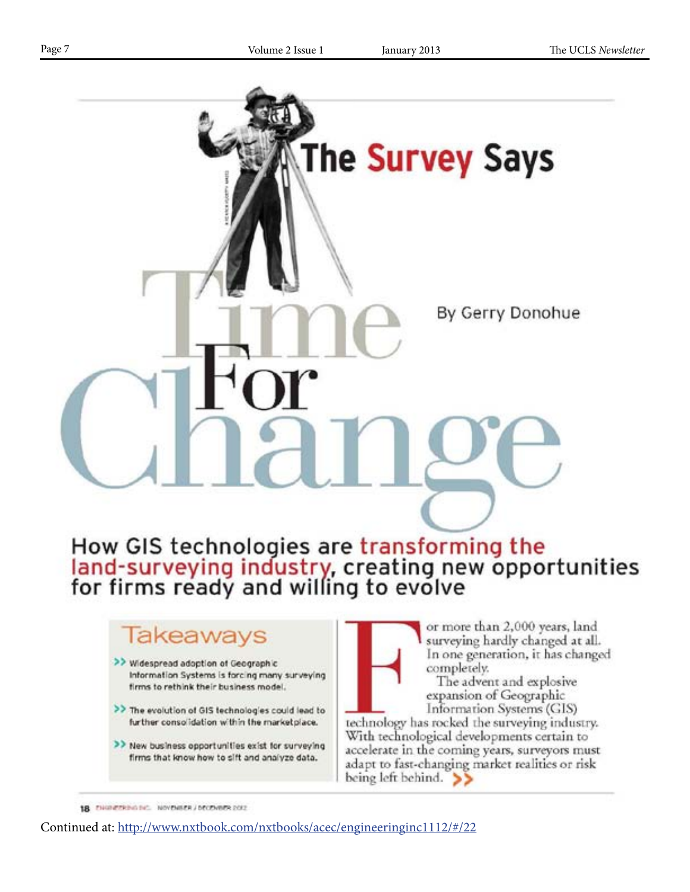

# lakeaways

- >> Widespread adoption of Geographic Information Systems is forcing many surveying firms to rethink their business model.
- >> The evolution of GIS technologies could lead to further consolidation within the marketplace.
- >> New business opportunities exist for surveying firms that know how to sift and analyze data.

or more than 2,000 years, land surveying hardly changed at all. In one generation, it has changed completely.

The advent and explosive expansion of Geographic Information Systems (GIS)

technology has rocked the surveying industry. With technological developments certain to accelerate in the coming years, surveyors must adapt to fast-changing market realities or risk being left behind.  $\gg$ 

18 ENGINEERING BY NOVEMBER / DECEMBER 2012

Continued at: http://www.nxtbook.com/nxtbooks/acec/engineeringinc1112/#/22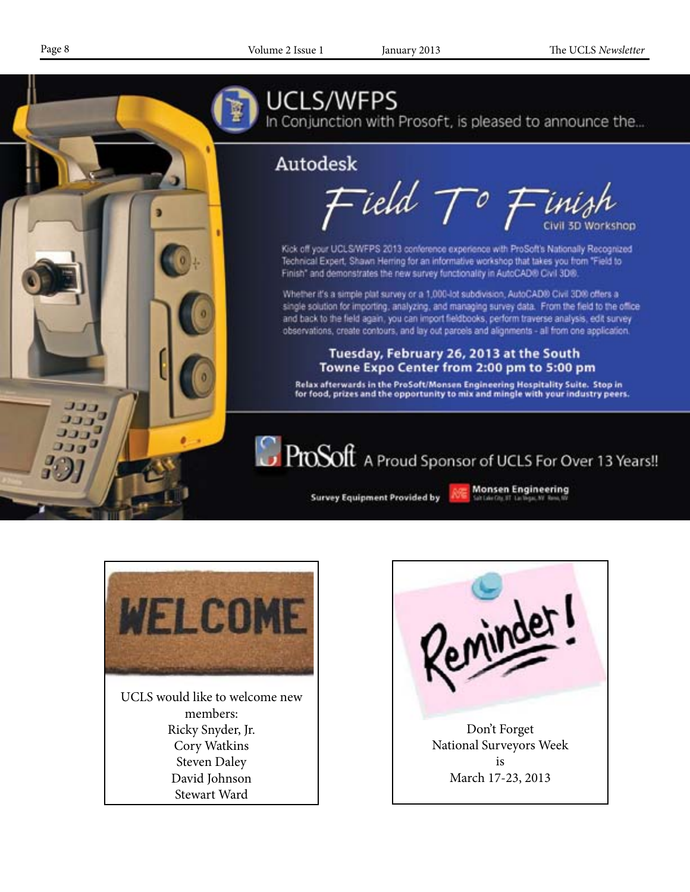

# UCLS/WFPS

In Conjunction with Prosoft, is pleased to announce the...

# Autodesk

Field  $\mathcal{T}^o$  Finish

Kick off your UCLS/WFPS 2013 conference experience with ProSoft's Nationally Recognized Technical Expert, Shawn Herring for an informative workshop that takes you from "Field to Finish" and demonstrates the new survey functionality in AutoCAD® Civil 3D®.

Whether it's a simple plat survey or a 1,000-lot subdivision, AutoCAD® Civil 3D® offers a single solution for importing, analyzing, and managing survey data. From the field to the office and back to the field again, you can import fieldbooks, perform traverse analysis, edit survey observations, create contours, and lay out parcels and alignments - all from one application.

# Tuesday, February 26, 2013 at the South Towne Expo Center from 2:00 pm to 5:00 pm

Relax afterwards in the ProSoft/Monsen Engineering Hospitality Suite. Stop in<br>for food, prizes and the opportunity to mix and mingle with your industry peers.

**C** ProSoft A Proud Sponsor of UCLS For Over 13 Years!!

**Survey Equipment Provided by** 

**Monsen Engineering** 



UCLS would like to welcome new members: Ricky Snyder, Jr. Cory Watkins Steven Daley David Johnson Stewart Ward

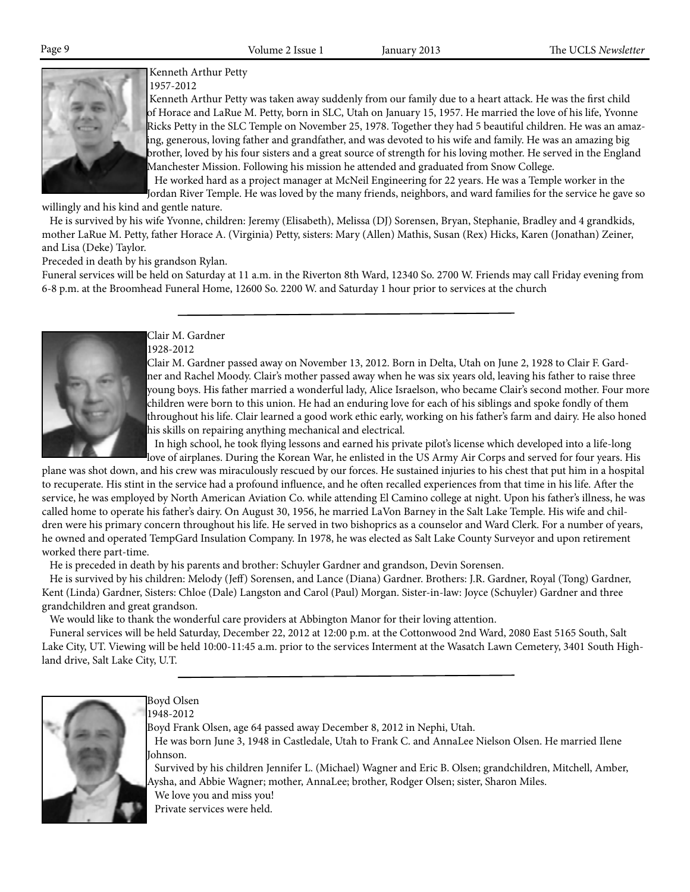

 Kenneth Arthur Petty 1957-2012

 Kenneth Arthur Petty was taken away suddenly from our family due to a heart attack. He was the first child of Horace and LaRue M. Petty, born in SLC, Utah on January 15, 1957. He married the love of his life, Yvonne Ricks Petty in the SLC Temple on November 25, 1978. Together they had 5 beautiful children. He was an amazing, generous, loving father and grandfather, and was devoted to his wife and family. He was an amazing big brother, loved by his four sisters and a great source of strength for his loving mother. He served in the England Manchester Mission. Following his mission he attended and graduated from Snow College.

 He worked hard as a project manager at McNeil Engineering for 22 years. He was a Temple worker in the Jordan River Temple. He was loved by the many friends, neighbors, and ward families for the service he gave so

willingly and his kind and gentle nature.

 He is survived by his wife Yvonne, children: Jeremy (Elisabeth), Melissa (DJ) Sorensen, Bryan, Stephanie, Bradley and 4 grandkids, mother LaRue M. Petty, father Horace A. (Virginia) Petty, sisters: Mary (Allen) Mathis, Susan (Rex) Hicks, Karen (Jonathan) Zeiner, and Lisa (Deke) Taylor.

Preceded in death by his grandson Rylan.

Funeral services will be held on Saturday at 11 a.m. in the Riverton 8th Ward, 12340 So. 2700 W. Friends may call Friday evening from 6-8 p.m. at the Broomhead Funeral Home, 12600 So. 2200 W. and Saturday 1 hour prior to services at the church



Clair M. Gardner 1928-2012

Clair M. Gardner passed away on November 13, 2012. Born in Delta, Utah on June 2, 1928 to Clair F. Gardner and Rachel Moody. Clair's mother passed away when he was six years old, leaving his father to raise three young boys. His father married a wonderful lady, Alice Israelson, who became Clair's second mother. Four more children were born to this union. He had an enduring love for each of his siblings and spoke fondly of them throughout his life. Clair learned a good work ethic early, working on his father's farm and dairy. He also honed his skills on repairing anything mechanical and electrical.

 In high school, he took flying lessons and earned his private pilot's license which developed into a life-long love of airplanes. During the Korean War, he enlisted in the US Army Air Corps and served for four years. His

plane was shot down, and his crew was miraculously rescued by our forces. He sustained injuries to his chest that put him in a hospital to recuperate. His stint in the service had a profound influence, and he often recalled experiences from that time in his life. After the service, he was employed by North American Aviation Co. while attending El Camino college at night. Upon his father's illness, he was called home to operate his father's dairy. On August 30, 1956, he married LaVon Barney in the Salt Lake Temple. His wife and children were his primary concern throughout his life. He served in two bishoprics as a counselor and Ward Clerk. For a number of years, he owned and operated TempGard Insulation Company. In 1978, he was elected as Salt Lake County Surveyor and upon retirement worked there part-time.

He is preceded in death by his parents and brother: Schuyler Gardner and grandson, Devin Sorensen.

 He is survived by his children: Melody (Jeff) Sorensen, and Lance (Diana) Gardner. Brothers: J.R. Gardner, Royal (Tong) Gardner, Kent (Linda) Gardner, Sisters: Chloe (Dale) Langston and Carol (Paul) Morgan. Sister-in-law: Joyce (Schuyler) Gardner and three grandchildren and great grandson.

We would like to thank the wonderful care providers at Abbington Manor for their loving attention.

 Funeral services will be held Saturday, December 22, 2012 at 12:00 p.m. at the Cottonwood 2nd Ward, 2080 East 5165 South, Salt Lake City, UT. Viewing will be held 10:00-11:45 a.m. prior to the services Interment at the Wasatch Lawn Cemetery, 3401 South Highland drive, Salt Lake City, U.T.



Boyd Olsen

1948-2012

Boyd Frank Olsen, age 64 passed away December 8, 2012 in Nephi, Utah.

 He was born June 3, 1948 in Castledale, Utah to Frank C. and AnnaLee Nielson Olsen. He married Ilene Johnson.

 Survived by his children Jennifer L. (Michael) Wagner and Eric B. Olsen; grandchildren, Mitchell, Amber, Aysha, and Abbie Wagner; mother, AnnaLee; brother, Rodger Olsen; sister, Sharon Miles. We love you and miss you! Private services were held.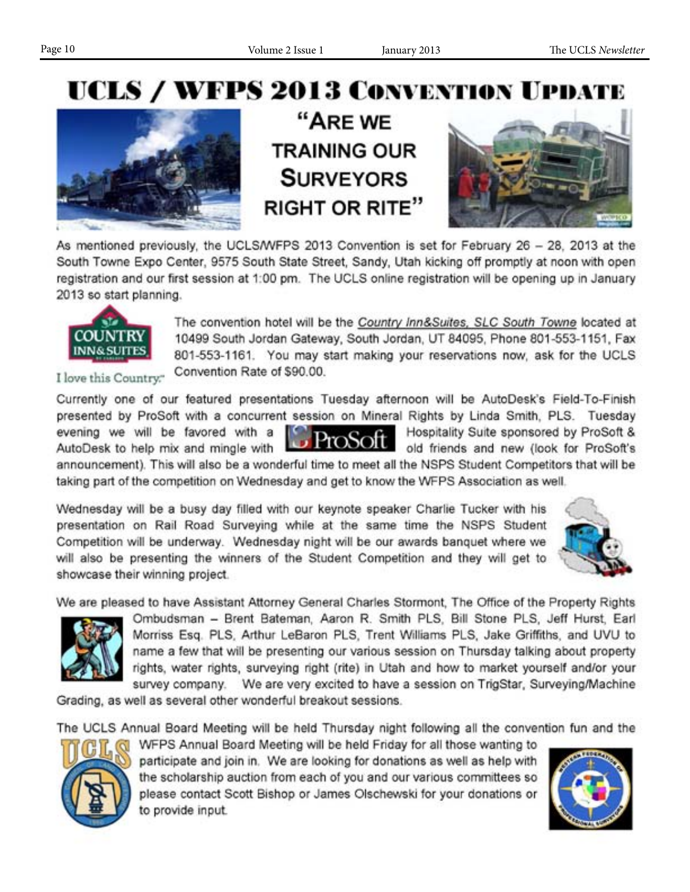# UCLS / WFPS 2013 CONVENTION UPDATE



"ARE WE **TRAINING OUR SURVEYORS RIGHT OR RITE"** 



As mentioned previously, the UCLS/WFPS 2013 Convention is set for February 26 - 28, 2013 at the South Towne Expo Center, 9575 South State Street, Sandy, Utah kicking off promptly at noon with open registration and our first session at 1:00 pm. The UCLS online registration will be opening up in January 2013 so start planning.



The convention hotel will be the Country Inn&Suites, SLC South Towne located at 10499 South Jordan Gateway, South Jordan, UT 84095, Phone 801-553-1151, Fax 801-553-1161. You may start making your reservations now, ask for the UCLS Convention Rate of \$90.00.

I love this Country."

Currently one of our featured presentations Tuesday afternoon will be AutoDesk's Field-To-Finish presented by ProSoft with a concurrent session on Mineral Rights by Linda Smith, PLS. Tuesday evening we will be favored with a Hospitality Suite sponsored by ProSoft & **TOSOIL** old friends and new (look for ProSoft's AutoDesk to help mix and mingle with announcement). This will also be a wonderful time to meet all the NSPS Student Competitors that will be

taking part of the competition on Wednesday and get to know the WFPS Association as well.

Wednesday will be a busy day filled with our keynote speaker Charlie Tucker with his presentation on Rail Road Surveying while at the same time the NSPS Student Competition will be underway. Wednesday night will be our awards banquet where we will also be presenting the winners of the Student Competition and they will get to showcase their winning project.



We are pleased to have Assistant Attorney General Charles Stormont. The Office of the Property Rights



Ombudsman - Brent Bateman, Aaron R. Smith PLS, Bill Stone PLS, Jeff Hurst, Earl Morriss Esq. PLS, Arthur LeBaron PLS, Trent Williams PLS, Jake Griffiths, and UVU to name a few that will be presenting our various session on Thursday talking about property rights, water rights, surveying right (rite) in Utah and how to market yourself and/or your survey company. We are very excited to have a session on TrigStar, Surveying/Machine

Grading, as well as several other wonderful breakout sessions.

The UCLS Annual Board Meeting will be held Thursday night following all the convention fun and the



WFPS Annual Board Meeting will be held Friday for all those wanting to participate and join in. We are looking for donations as well as help with the scholarship auction from each of you and our various committees so please contact Scott Bishop or James Olschewski for your donations or to provide input.

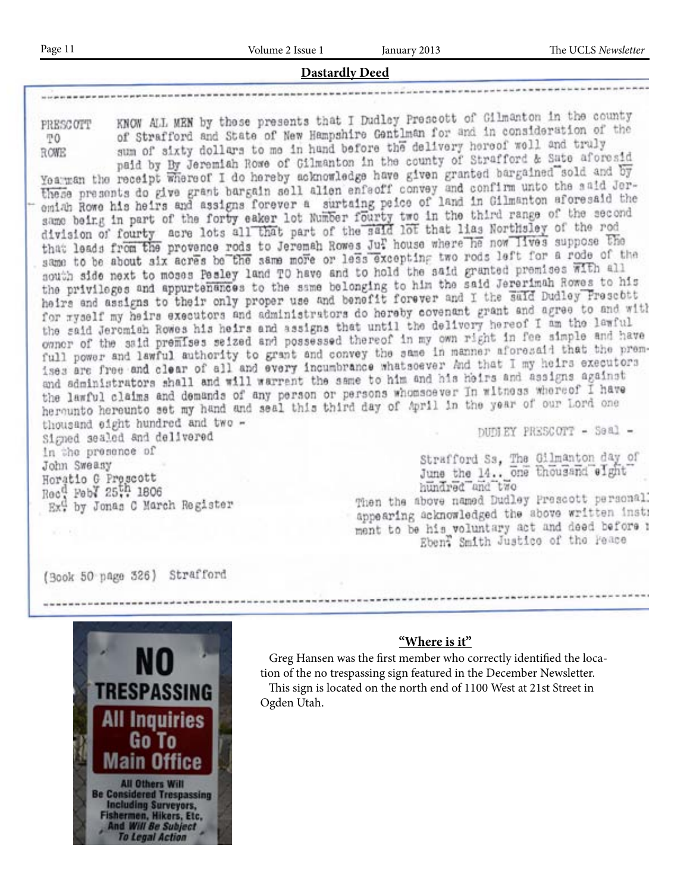### **Dastardly Deed**

PRESCOTT TO. **ROWE** 

KNOW ALL MEN by those presents that I Dudley Prescott of Gilmanton in the county of Strafford and State of New Hampshire Gentlman for and in consideration of the sum of sixty dollars to me in hand before the delivery hereof well and truly paid by By Jeremiah Rowe of Gilmanton in the county of Strafford & Sate aforesid

yearman the receipt where of I do hereby acknowledge have given granted bargained sold and by these presents do give grant bargain sell alien enfectf convey and confirm unto the said Jerthese presents do give grant pargain sell allen entedir burkey and in Gilmanton aforesaid the same being in part of the forty eaker lot Number fourty two in the third range of the second division of fourty acre lots all that part of the said lot that lias Northsley of the rod that leads from the provence rods to Jeremah Rowes Jur house where he now lives suppose the same to be about six acres be the same more or less excepting two rods left for a rode of the nouth side next to moses Pesley land TO have and to hold the said granted premises with all the privileges and appurtenances to the same belonging to him the said Jererimah Romes to his heirs and assigns to their only proper use and benefit forever and I the said Dudley Presebtt neirs and assigns to their only proper use and concrete receive covenant grant and agree to and with the said Jeromiah Rowes his heirs and assigns that until the delivery hereof I am the lawful the said Jeromian Rowes his neirs and assigns that their the correct in fee simple and have owner of the said premises selzed and possessed thereof in my our regional that the premises are free and clear of all and every incumbrance whatsoever And that I my heirs executors and administrators shall and will warrent the same to him and his heirs and assigns against the lawful claims and demands of any person or persons whomsoever In witness whereof I have herounto hereunto set my hand and seal this third day of April in the year of our Lord one thousand eight hundred and two -DUDLEY PRESCOTT - Seal -Signed sealed and delivered in the presence of Strafford Ss, The Gilmanton day of John Sweasy

Horatio G Prescott Rec<sup>d</sup> Feby 25th 1806 Ex<sup>d</sup> by Jonas C March Register

June the 14.. one thousand eight hundred and two Then the above named Dudley Prescott personal. appearing acknowledged the above written instr ment to be his voluntary act and deed before : Ebent Smith Justice of the Peace

(Book 50 page 326) Strafford



# **"Where is it"**

Greg Hansen was the first member who correctly identified the location of the no trespassing sign featured in the December Newsletter. This sign is located on the north end of 1100 West at 21st Street in Ogden Utah.